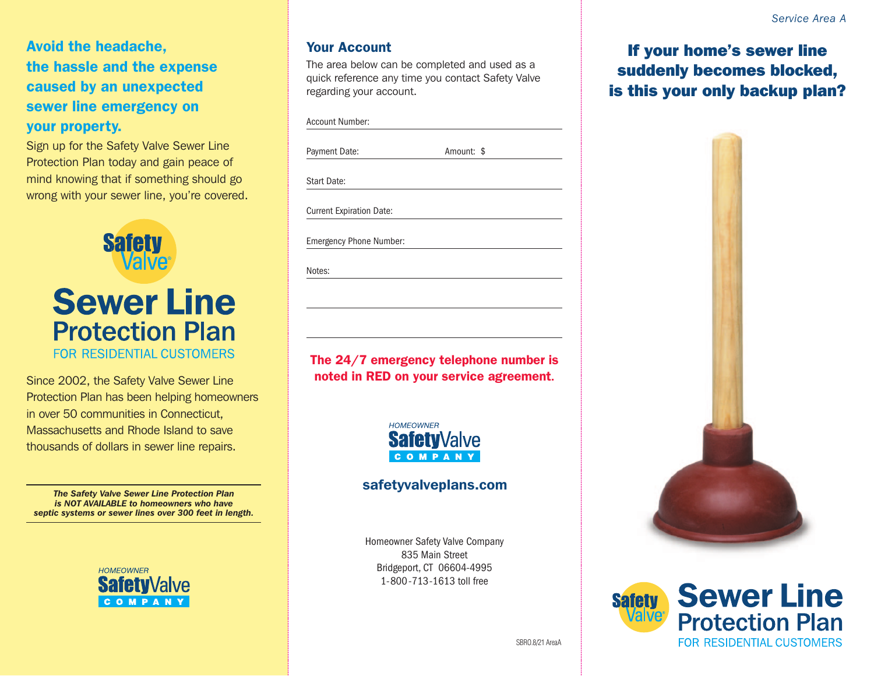Avoid the headache, the hassle and the expense caused by an unexpected sewer line emergency on your property.

Sign up for the Safety Valve Sewer Line Protection Plan today and gain peace of mind knowing that if something should go wrong with your sewer line, you're covered.



Protection Plan has been helping homeowners in over 50 communities in Connecticut, Massachusetts and Rhode Island to save thousands of dollars in sewer line repairs.

*The Safety Valve Sewer Line Protection Plan is NOT AVAILABLE to homeowners who have septic systems or sewer lines over 300 feet in length.*



#### Your Account

The area below can be completed and used as a quick reference any time you contact Safety Valve regarding your account.

Payment Date: Amount: \$ Start Date: Current Expiration Date:

Emergency Phone Number:

Notes:

The 24/7 emergency telephone number is noted in RED on your service agreement. Since 2002, the Safety Valve Sewer Line



### safetyvalveplans.com

Homeowner Safety Valve Company 835 Main Street Bridgeport, CT 06604-4995 1-800-713-1613 toll free

If your home's sewer line suddenly becomes blocked, is this your only backup plan?